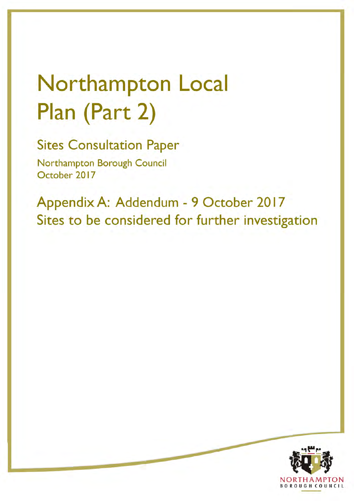# **Northampton Local** Plan (Part 2)

**Sites Consultation Paper** 

Northampton Borough Council October 2017

Appendix A: Addendum - 9 October 2017 Sites to be considered for further investigation

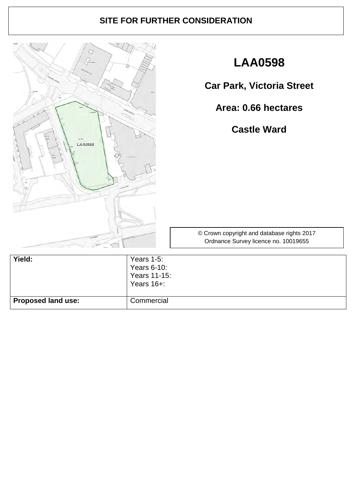

# **LAA0598**

**Car Park, Victoria Street**

**Area: 0.66 hectares**

**Castle Ward** 

| Yield:                    | Years $1-5$ :<br>Years 6-10:<br>Years 11-15:<br>Years 16+: |
|---------------------------|------------------------------------------------------------|
| <b>Proposed land use:</b> | Commercial                                                 |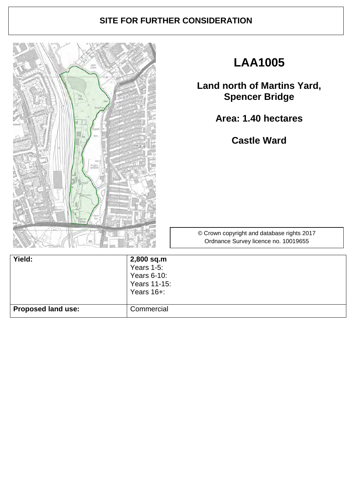

# **LAA1005**

**Land north of Martins Yard, Spencer Bridge**

**Area: 1.40 hectares**

**Castle Ward** 

| Yield:                    | 2,800 sq.m<br>Years $1-5$ :<br>Years 6-10:<br>Years 11-15:<br>Years 16+: |
|---------------------------|--------------------------------------------------------------------------|
| <b>Proposed land use:</b> | Commercial                                                               |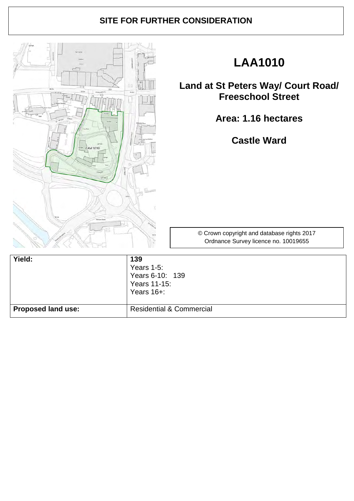

# **LAA1010**

## **Land at St Peters Way/ Court Road/ Freeschool Street**

**Area: 1.16 hectares**

**Castle Ward** 

| Yield:                    | 139<br>Years 1-5:<br>Years 6-10: 139<br>Years 11-15:<br>Years $16+$ : |
|---------------------------|-----------------------------------------------------------------------|
| <b>Proposed land use:</b> | <b>Residential &amp; Commercial</b>                                   |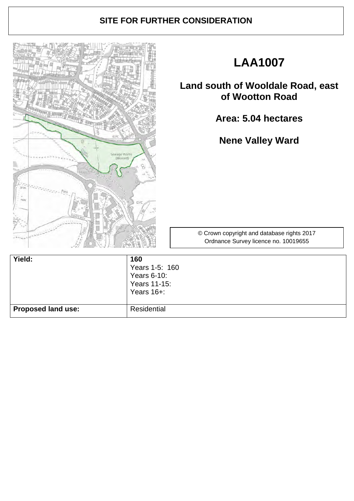

# **LAA1007**

## **Land south of Wooldale Road, east of Wootton Road**

**Area: 5.04 hectares**

**Nene Valley Ward** 

| Yield:                    | 160<br>Years 1-5: 160<br>Years 6-10:<br>Years 11-15:<br>Years 16+: |
|---------------------------|--------------------------------------------------------------------|
| <b>Proposed land use:</b> | Residential                                                        |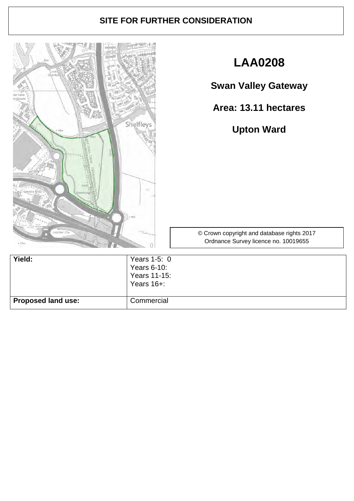

|                           | Years $16+$ : |
|---------------------------|---------------|
| <b>Proposed land use:</b> | Commercial    |